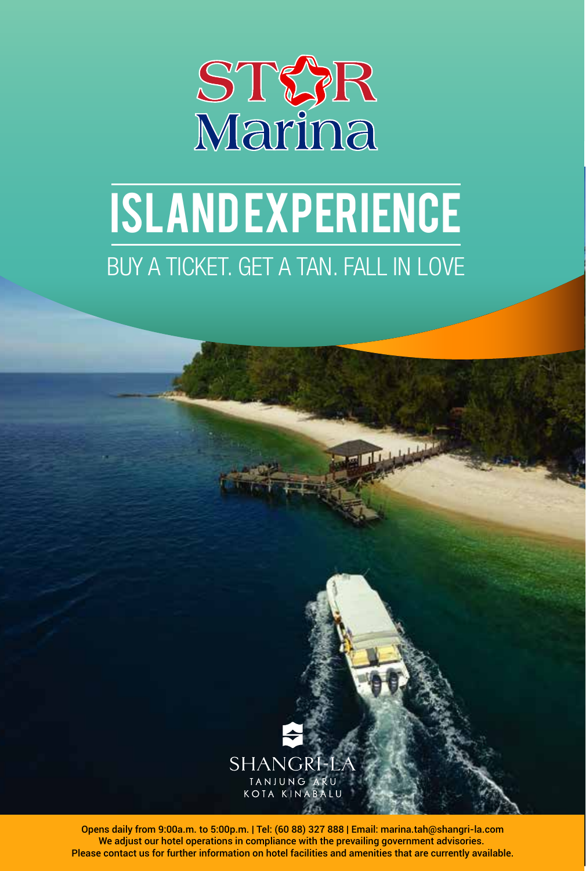

# BUY A TICKET. GET A TAN. FALL IN LOVE **ISLANDEXPERIENCE**

فليلبلوا



Opens daily from 9:00a.m. to 5:00p.m. | Tel: (60 88) 327 888 | Email: marina.tah@shangri-la.com We adjust our hotel operations in compliance with the prevailing government advisories. Please contact us for further information on hotel facilities and amenities that are currently available.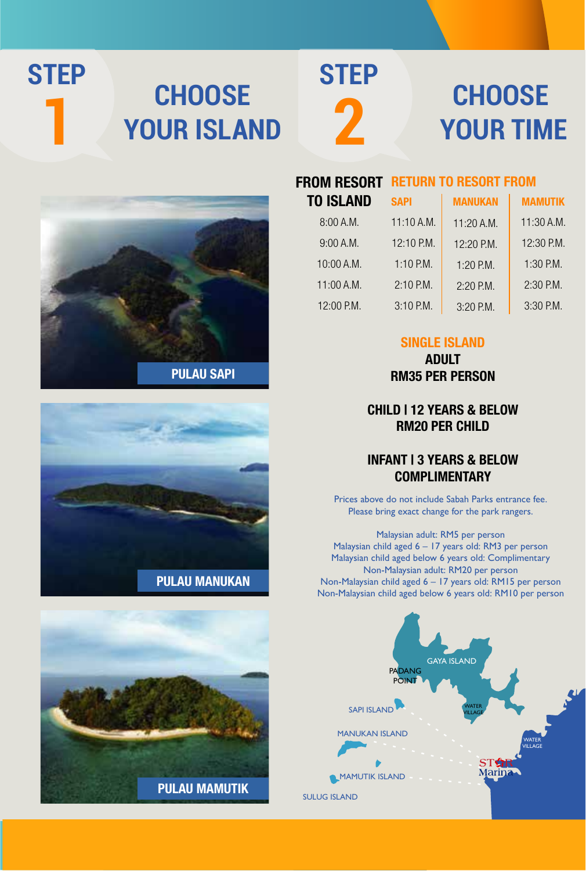### **CHOOSE YOUR ISLAND STEP**

**1**



### **CHOOSE YOUR TIME**







| <b>FROM RESORT</b> | <b>RETURN TO RESORT FROM</b> |                |                |
|--------------------|------------------------------|----------------|----------------|
| <b>TO ISLAND</b>   | <b>SAPI</b>                  | <b>MANUKAN</b> | <b>MAMUTIK</b> |
| 8:00A.M.           | 11:10 A.M.                   | 11:20 A.M.     | $11:30$ A.M.   |
| 9:00A.M.           | 12:10 P.M.                   | 12:20 P.M.     | 12:30 P.M.     |
| 10:00 A.M.         | 1:10 P.M.                    | 1:20 P.M.      | 1:30 P.M.      |
| 11:00 A.M.         | 2:10 P.M.                    | $2:20$ P.M.    | 2:30 P.M.      |
| 12:00 P.M.         | 3:10 P.M.                    | 3:20 P.M.      | 3:30 P.M.      |

### SINGLE ISLAND

ADULT RM35 PER PERSON

### CHILD | 12 YEARS & BELOW RM20 PER CHILD

### INFANT | 3 YEARS & BELOW COMPLIMENTARY

Prices above do not include Sabah Parks entrance fee. Please bring exact change for the park rangers.

Malaysian adult: RM5 per person Malaysian child aged 6 – 17 years old: RM3 per person Malaysian child aged below 6 years old: Complimentary Non-Malaysian adult: RM20 per person Non-Malaysian child aged 6 – 17 years old: RM15 per person Non-Malaysian child aged below 6 years old: RM10 per person

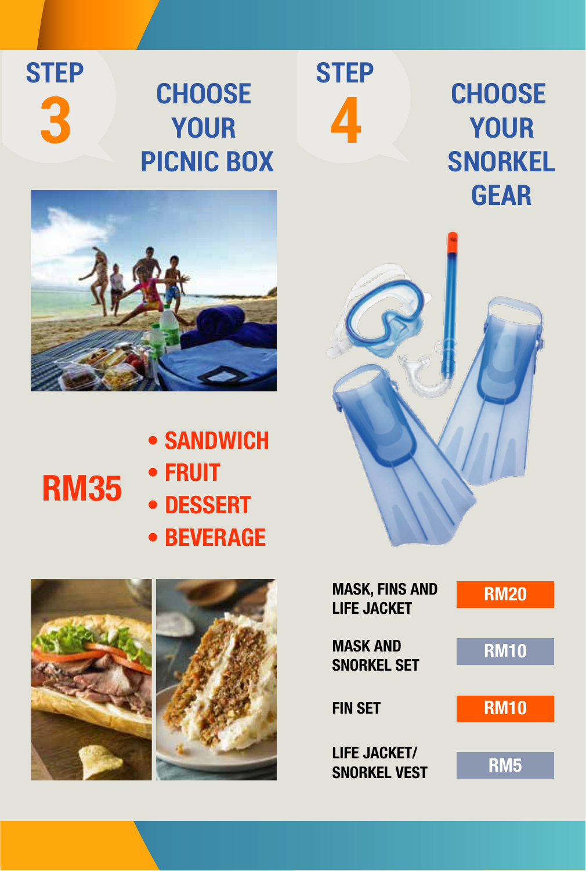**STEP 3**

## **CHOOSE YOUR PICNIC BOX**

**STEP**

**4**



- SANDWICH • FRUIT
- DESSERT
	- BEVERAGE



RM35



**CHOOSE YOUR SNORKEL GEAR**



| Mask, fins and<br><b>LIFE JACKET</b>       | <b>RM20</b> |
|--------------------------------------------|-------------|
| <b>MASK AND</b><br><b>SNORKEL SET</b>      | <b>RM10</b> |
| <b>FIN SET</b>                             | <b>RM10</b> |
| <b>LIFE JACKET/</b><br><b>SNORKEL VEST</b> | <b>RM5</b>  |